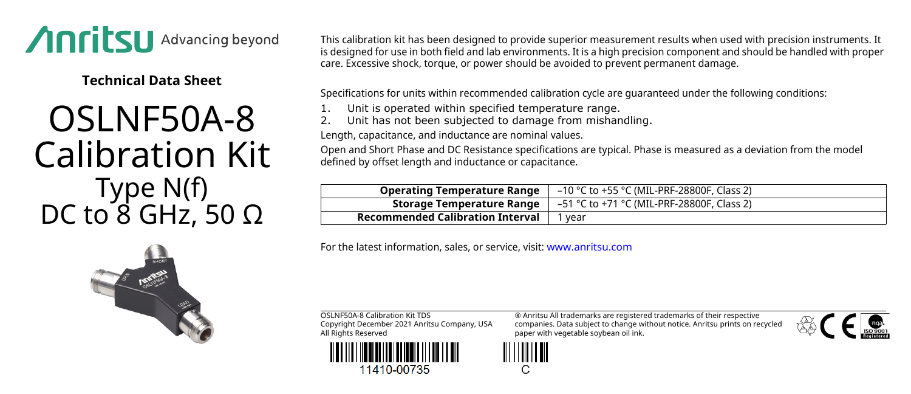

**Technical Data Sheet**

## OSLNF50A-8 Calibration Kit Type N(f) DC to  $8$  GHz, 50 Ω

This calibration kit has been designed to provide superior measurement results when used with precision instruments. It is designed for use in both field and lab environments. It is a high precision component and should be handled with proper care. Excessive shock, torque, or power should be avoided to prevent permanent damage.

Specifications for units within recommended calibration cycle are guaranteed under the following conditions:

- Unit is operated within specified temperature range.
- Unit has not been subjected to damage from mishandling.

Length, capacitance, and inductance are nominal values.

Open and Short Phase and DC Resistance specifications are typical. Phase is measured as a deviation from the model defined by offset length and inductance or capacitance.

| <b>Operating Temperature Range</b>      | -10 °C to +55 °C (MIL-PRF-28800F, Class 2) |
|-----------------------------------------|--------------------------------------------|
| Storage Temperature Range               | –51 °C to +71 °C (MIL-PRF-28800F, Class 2) |
| <b>Recommended Calibration Interval</b> | ' vear                                     |

For the latest information, sales, or service, visit: [www.anritsu.com](http://www.anritsu.com)

OSLNF50A-8 Calibration Kit TDS Copyright December 2021 Anritsu Company, USA All Rights Reserved



11410-00735

® Anritsu All trademarks are registered trademarks of their respective companies. Data subject to change without notice. Anritsu prints on recycled paper with vegetable soybean oil ink.